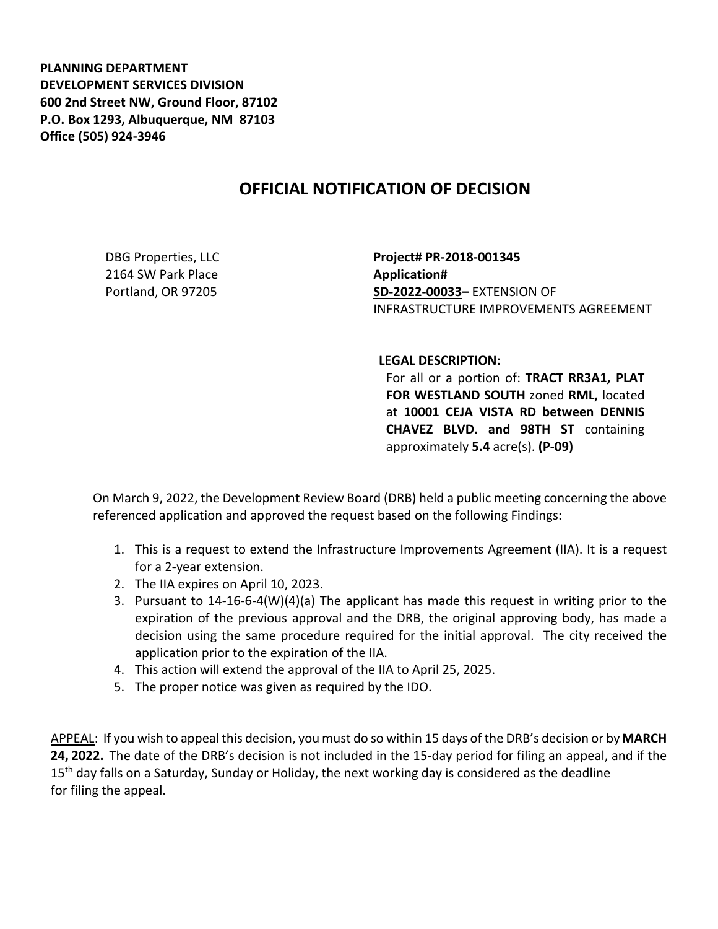**PLANNING DEPARTMENT DEVELOPMENT SERVICES DIVISION 600 2nd Street NW, Ground Floor, 87102 P.O. Box 1293, Albuquerque, NM 87103 Office (505) 924-3946** 

## **OFFICIAL NOTIFICATION OF DECISION**

DBG Properties, LLC 2164 SW Park Place Portland, OR 97205

**Project# PR-2018-001345 Application# SD-2022-00033–** EXTENSION OF INFRASTRUCTURE IMPROVEMENTS AGREEMENT

## **LEGAL DESCRIPTION:**

For all or a portion of: **TRACT RR3A1, PLAT FOR WESTLAND SOUTH** zoned **RML,** located at **10001 CEJA VISTA RD between DENNIS CHAVEZ BLVD. and 98TH ST** containing approximately **5.4** acre(s). **(P-09)**

On March 9, 2022, the Development Review Board (DRB) held a public meeting concerning the above referenced application and approved the request based on the following Findings:

- 1. This is a request to extend the Infrastructure Improvements Agreement (IIA). It is a request for a 2-year extension.
- 2. The IIA expires on April 10, 2023.
- 3. Pursuant to 14-16-6-4(W)(4)(a) The applicant has made this request in writing prior to the expiration of the previous approval and the DRB, the original approving body, has made a decision using the same procedure required for the initial approval. The city received the application prior to the expiration of the IIA.
- 4. This action will extend the approval of the IIA to April 25, 2025.
- 5. The proper notice was given as required by the IDO.

APPEAL: If you wish to appeal this decision, you must do so within 15 days of the DRB's decision or by**MARCH 24, 2022.** The date of the DRB's decision is not included in the 15-day period for filing an appeal, and if the 15<sup>th</sup> day falls on a Saturday, Sunday or Holiday, the next working day is considered as the deadline for filing the appeal.